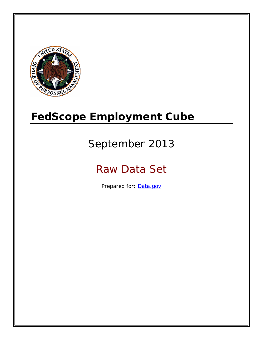

# **FedScope Employment Cube**

# September 2013

# Raw Data Set

Prepared for: [Data.gov](http://www.data.gov/)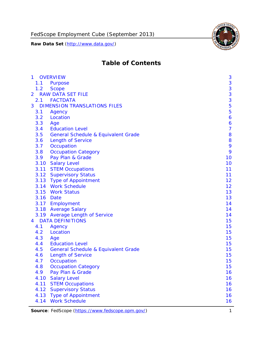

# **Table of Contents**

| $\mathbf{1}$ | <b>OVERVIEW</b>                                | 3              |
|--------------|------------------------------------------------|----------------|
| 1.1          | Purpose                                        | 3              |
| 1.2          | <b>Scope</b>                                   | 3              |
| 2            | <b>RAW DATA SET FILE</b>                       | 3              |
| 2.1          | <b>FACTDATA</b>                                | 3              |
| 3            | <b>DIMENSION TRANSLATIONS FILES</b>            | 5              |
| 3.1          | Agency                                         | 5              |
| 3.2          | Location                                       | 6              |
| 3.3          | Age                                            | 6              |
| 3.4          | <b>Education Level</b>                         | $\overline{7}$ |
| 3.5          | <b>General Schedule &amp; Equivalent Grade</b> | 8              |
| 3.6          | <b>Length of Service</b>                       | 8              |
| 3.7          | Occupation                                     | 9              |
| 3.8          | <b>Occupation Category</b>                     | 9              |
| 3.9          | Pay Plan & Grade                               | 10             |
| 3.10         | <b>Salary Level</b>                            | 10             |
|              | 3.11 STEM Occupations                          | 11             |
|              | 3.12 Supervisory Status                        | 11             |
|              | 3.13 Type of Appointment                       | 12             |
|              | 3.14 Work Schedule                             | 12             |
| 3.15         | <b>Work Status</b>                             | 13             |
|              | 3.16 Date                                      | 13             |
|              | 3.17 Employment                                | 14             |
|              | 3.18 Average Salary                            | 14             |
|              | 3.19 Average Length of Service                 | 14             |
| 4            | <b>DATA DEFINITIONS</b>                        | 15             |
| 4.1          | Agency                                         | 15             |
| 4.2          | Location                                       | 15             |
| 4.3          | Age                                            | 15             |
| 4.4          | <b>Education Level</b>                         | 15             |
| 4.5          | <b>General Schedule &amp; Equivalent Grade</b> | 15             |
| 4.6          | <b>Length of Service</b>                       | 15             |
| 4.7          | Occupation                                     | 15             |
| 4.8          | <b>Occupation Category</b>                     | 15             |
| 4.9          | Pay Plan & Grade                               | 16             |
| 4.10         | <b>Salary Level</b>                            | 16             |
| 4.11         | <b>STEM Occupations</b>                        | 16             |
| 4.12         | <b>Supervisory Status</b>                      | 16             |
| 4.13         | <b>Type of Appointment</b>                     | 16             |
| 4.14         | <b>Work Schedule</b>                           | 16             |

**Source**: FedScope (https://www.fedscope.opm.gov/) 1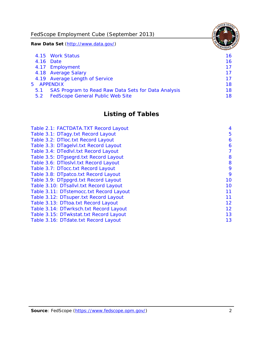FedScope Employment Cube (September 2013)

**Raw Data Set** (http://www.data.gov/)

|               | 4.15 Work Status                                    | 16. |
|---------------|-----------------------------------------------------|-----|
|               | 4.16 Date                                           | 16  |
|               | 4.17 Employment                                     | 17  |
|               | 4.18 Average Salary                                 | 17  |
|               | 4.19 Average Length of Service                      | 17  |
|               | 5 APPENDIX                                          | 18  |
| 5.1           | SAS Program to Read Raw Data Sets for Data Analysis | 18  |
| $5.2^{\circ}$ | <b>FedScope General Public Web Site</b>             | 18  |

# **Listing of Tables**

| Table 2.1: FACTDATA.TXT Record Layout   | 4  |
|-----------------------------------------|----|
| Table 3.1: DTagy.txt Record Layout      | 5  |
| Table 3.2: DTloc.txt Record Layout      | 6  |
| Table 3.3: DTagelvl.txt Record Layout   | 6  |
| Table 3.4: DTedlvl.txt Record Layout    | 7  |
| Table 3.5: DTgsegrd.txt Record Layout   | 8  |
| Table 3.6: DTIoslvI.txt Record Layout   | 8  |
| Table 3.7: DTocc.txt Record Layout      | 9  |
| Table 3.8: DTpatco.txt Record Layout    | 9  |
| Table 3.9: DTppgrd.txt Record Layout    | 10 |
| Table 3.10: DTsallvl.txt Record Layout  | 10 |
| Table 3.11: DTstemocc.txt Record Layout | 11 |
| Table 3.12: DTsuper.txt Record Layout   | 11 |
| Table 3.13: DTtoa.txt Record Layout     | 12 |
| Table 3.14: DTwrksch.txt Record Layout  | 12 |
| Table 3.15: DTwkstat.txt Record Layout  | 13 |
| Table 3.16: DTdate.txt Record Layout    | 13 |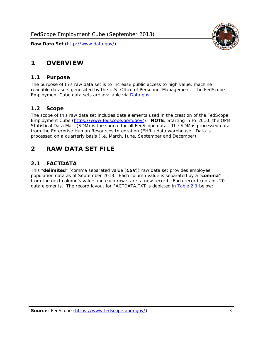# <span id="page-3-0"></span>**1 OVERVIEW**

#### *1.1 Purpose*

<span id="page-3-1"></span>The purpose of this raw data set is to increase public access to high value, machine readable datasets generated by the U.S. Office of Personnel Management. The FedScope Employment Cube data sets are available via [Data.gov](http://www.data.gov/).

## <span id="page-3-2"></span>*1.2 Scope*

The scope of this raw data set includes data elements used in the creation of the FedScope Employment Cube [\(https://www.fedscope.opm.gov/\)](https://www.fedscope.opm.gov/). **NOTE**: Starting in FY 2010, the OPM Statistical Data Mart (SDM) is the source for all FedScope data. The SDM is processed data from the Enterprise Human Resources Integration (EHRI) data warehouse. Data is processed on a quarterly basis (i.e. March, June, September and December).

# <span id="page-3-3"></span>**2 RAW DATA SET FILE**

## <span id="page-3-4"></span>*2.1 FACTDATA*

This "**delimited**" (comma separated value (**CSV**)) raw data set provides employee population data as of September 2013. Each column value is separated by a "**comma**" from the next column's value and each row starts a new record. Each record contains 20 data elements. The record layout for FACTDATA.TXT is depicted in [Table 2.1](#page-4-1) below:

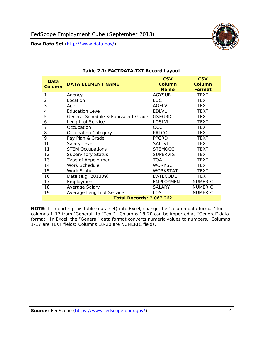

<span id="page-4-1"></span><span id="page-4-0"></span>

| <b>Data</b><br><b>Column</b> | <b>DATA ELEMENT NAME</b>            | <b>CSV</b><br><b>Column</b><br><b>Name</b> | <b>CSV</b><br><b>Column</b><br>Format |
|------------------------------|-------------------------------------|--------------------------------------------|---------------------------------------|
| 1                            | Agency                              | <b>AGYSUB</b>                              | <b>TEXT</b>                           |
| $\overline{2}$               | Location                            | <b>LOC</b>                                 | <b>TEXT</b>                           |
| 3                            | Age                                 | <b>AGELVL</b>                              | <b>TEXT</b>                           |
| 4                            | <b>Education Level</b>              | <b>EDLVL</b>                               | <b>TEXT</b>                           |
| 5                            | General Schedule & Equivalent Grade | <b>GSEGRD</b>                              | <b>TEXT</b>                           |
| 6                            | Length of Service                   | LOSLVL                                     | <b>TEXT</b>                           |
| 7                            | Occupation                          | <b>OCC</b>                                 | <b>TEXT</b>                           |
| 8                            | <b>Occupation Category</b>          | <b>PATCO</b>                               | <b>TEXT</b>                           |
| 9                            | Pay Plan & Grade                    | <b>PPGRD</b>                               | <b>TEXT</b>                           |
| 10                           | Salary Level                        | <b>SALLVL</b>                              | <b>TEXT</b>                           |
| 11                           | <b>STEM Occupations</b>             | <b>STEMOCC</b>                             | <b>TEXT</b>                           |
| 12                           | <b>Supervisory Status</b>           | <b>SUPERVIS</b>                            | <b>TEXT</b>                           |
| 13                           | Type of Appointment                 | <b>TOA</b>                                 | <b>TEXT</b>                           |
| 14                           | Work Schedule                       | <b>WORKSCH</b>                             | <b>TEXT</b>                           |
| 15                           | <b>Work Status</b>                  | <b>WORKSTAT</b>                            | <b>TEXT</b>                           |
| 16                           | Date (e.g. 201309)                  | <b>DATECODE</b>                            | <b>TEXT</b>                           |
| 17                           | Employment                          | <b>EMPLOYMENT</b>                          | <b>NUMERIC</b>                        |
| 18                           | Average Salary                      | <b>SALARY</b>                              | <b>NUMERIC</b>                        |
| 19                           | Average Length of Service           | LOS                                        | <b>NUMERIC</b>                        |
|                              | <b>Total Records: 2,067,262</b>     |                                            |                                       |

#### **Table 2.1: FACTDATA.TXT Record Layout**

**NOTE**: If importing this table (data set) into Excel, change the "column data format" for columns 1-17 from "General" to "Text". Columns 18-20 can be imported as "General" data format. In Excel, the "General" data format converts numeric values to numbers. Columns 1-17 are TEXT fields; Columns 18-20 are NUMERIC fields.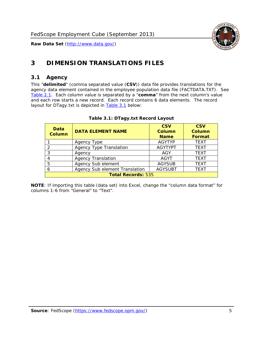

# <span id="page-5-0"></span>**3 DIMENSION TRANSLATIONS FILES**

#### <span id="page-5-1"></span>*3.1 Agency*

<span id="page-5-3"></span><span id="page-5-2"></span>This "**delimited**" (comma separated value (**CSV**)) data file provides translations for the agency data element contained in the employee population data file (FACTDATA.TXT). See [Table 2.1.](#page-4-1) Each column value is separated by a "**comma**" from the next column's value and each row starts a new record. Each record contains 6 data elements. The record layout for DTagy.txt is depicted in [Table 3.1](#page-5-3) below:

| Data<br>Column            | <b>DATA ELEMENT NAME</b>       | <b>CSV</b><br><b>Column</b><br><b>Name</b> | <b>CSV</b><br>Column<br><b>Format</b> |
|---------------------------|--------------------------------|--------------------------------------------|---------------------------------------|
|                           | Agency Type                    | <b>AGYTYP</b>                              | <b>TEXT</b>                           |
| 2                         | <b>Agency Type Translation</b> | <b>AGYTYPT</b>                             | <b>TEXT</b>                           |
| 3                         | Agency                         | AGY                                        | <b>TEXT</b>                           |
| 4                         | <b>Agency Translation</b>      | <b>AGYT</b>                                | <b>TEXT</b>                           |
| 5                         | Agency Sub element             | <b>AGYSUB</b>                              | <b>TEXT</b>                           |
| 6                         | Agency Sub element Translation | <b>AGYSUBT</b>                             | <b>TEXT</b>                           |
| <b>Total Records: 535</b> |                                |                                            |                                       |

#### **Table 3.1: DTagy.txt Record Layout**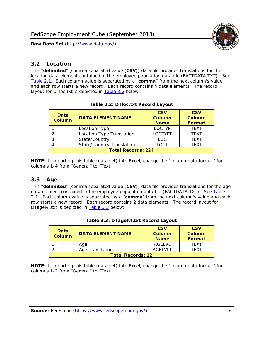

#### <span id="page-6-0"></span>*3.2 Location*

<span id="page-6-4"></span><span id="page-6-2"></span>This "**delimited**" (comma separated value (**CSV**)) data file provides translations for the location data element contained in the employee population data file (FACTDATA.TXT). See [Table 2.1.](#page-4-1) Each column value is separated by a "**comma**" from the next column's value and each row starts a new record. Each record contains 4 data elements. The record layout for DTloc.txt is depicted in [Table 3.2](#page-6-4) below:

| Data<br><b>Column</b>     | <b>DATA ELEMENT NAME</b>         | <b>CSV</b><br>Column<br><b>Name</b> | <b>CSV</b><br><b>Column</b><br><b>Format</b> |
|---------------------------|----------------------------------|-------------------------------------|----------------------------------------------|
|                           | Location Type                    | <b>LOCTYP</b>                       | <b>TEXT</b>                                  |
|                           | Location Type Translation        | <b>LOCTYPT</b>                      | <b>TEXT</b>                                  |
| ⌒                         | State/Country                    | <b>LOC</b>                          | <b>TFXT</b>                                  |
|                           | <b>State/Country Translation</b> | LOCT                                | <b>TFXT</b>                                  |
| <b>Total Records: 224</b> |                                  |                                     |                                              |

#### **Table 3.2: DTloc.txt Record Layout**

**NOTE**: If importing this table (data set) into Excel, change the "column data format" for columns 1-4 from "General" to "Text".

#### <span id="page-6-1"></span>*3.3 Age*

<span id="page-6-5"></span><span id="page-6-3"></span>This "**delimited**" (comma separated value (**CSV**)) data file provides translations for the age data element contained in the employee population data file (FACTDATA.TXT). See [Table](#page-4-1) [2.1](#page-4-1). Each column value is separated by a "**comma**" from the next column's value and each row starts a new record. Each record contains 2 data elements. The record layout for DTagelvl.txt is depicted in **[Table 3.3](#page-6-5)** below:

| Data<br><b>Column</b>    | <b>DATA ELEMENT NAME</b> | <b>CSV</b><br>Column<br><b>Name</b> | <b>CSV</b><br>Column<br>Format |
|--------------------------|--------------------------|-------------------------------------|--------------------------------|
|                          | Aae                      | AGFI VI                             | TFXT                           |
|                          | Age Translation          | AGFI VI T                           | TFXT                           |
| <b>Total Records: 12</b> |                          |                                     |                                |

#### **Table 3.3: DTagelvl.txt Record Layout**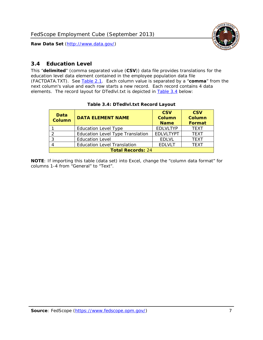

#### <span id="page-7-0"></span>*3.4 Education Level*

<span id="page-7-2"></span><span id="page-7-1"></span>This "**delimited**" (comma separated value (**CSV**)) data file provides translations for the education level data element contained in the employee population data file (FACTDATA.TXT). See [Table 2.1](#page-4-1). Each column value is separated by a "**comma**" from the next column's value and each row starts a new record. Each record contains 4 data elements. The record layout for DTedlvl.txt is depicted in [Table 3.4](#page-7-2) below:

| Data<br><b>Column</b>    | <b>DATA ELEMENT NAME</b>           | <b>CSV</b><br><b>Column</b><br><b>Name</b> | <b>CSV</b><br><b>Column</b><br><b>Format</b> |
|--------------------------|------------------------------------|--------------------------------------------|----------------------------------------------|
|                          | <b>Education Level Type</b>        | <b>EDLVLTYP</b>                            | <b>TEXT</b>                                  |
|                          | Education Level Type Translation   | <b>EDLVLTYPT</b>                           | <b>TEXT</b>                                  |
|                          | <b>Education Level</b>             | <b>EDLVL</b>                               | <b>TEXT</b>                                  |
|                          | <b>Education Level Translation</b> | <b>EDLVLT</b>                              | <b>TEXT</b>                                  |
| <b>Total Records: 24</b> |                                    |                                            |                                              |

#### **Table 3.4: DTedlvl.txt Record Layout**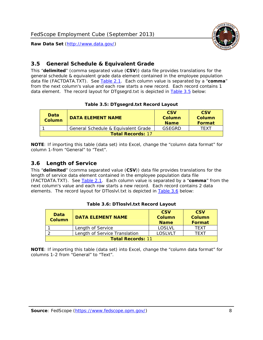

#### <span id="page-8-0"></span>*3.5 General Schedule & Equivalent Grade*

This "**delimited**" (comma separated value (**CSV**)) data file provides translations for the general schedule & equivalent grade data element contained in the employee population data file (FACTDATA.TXT). See [Table 2.1](#page-4-1). Each column value is separated by a "**comma**" from the next column's value and each row starts a new record. Each record contains 1 data element. The record layout for DTgsegrd.txt is depicted in [Table 3.5](#page-8-4) below:

#### **Table 3.5: DTgsegrd.txt Record Layout**

<span id="page-8-4"></span><span id="page-8-2"></span>

| Data<br>Column           | DATA FI FMFNT NAMF                  | <b>CSV</b><br>Column<br><b>Name</b> | <b>CSV</b><br>Column<br>Format |
|--------------------------|-------------------------------------|-------------------------------------|--------------------------------|
|                          | General Schedule & Equivalent Grade | GSEGRD                              | TFXT                           |
| <b>Total Records: 17</b> |                                     |                                     |                                |

**NOTE**: If importing this table (data set) into Excel, change the "column data format" for column 1-from "General" to "Text".

#### <span id="page-8-1"></span>*3.6 Length of Service*

<span id="page-8-5"></span>This "**delimited**" (comma separated value (**CSV**)) data file provides translations for the length of service data element contained in the employee population data file (FACTDATA.TXT). See [Table 2.1](#page-4-1). Each column value is separated by a "**comma**" from the next column's value and each row starts a new record. Each record contains 2 data elements. The record layout for DTloslvl.txt is depicted in [Table 3.6](#page-8-5) below:

<span id="page-8-3"></span>

| Data<br><b>Column</b>    | <b>DATA ELEMENT NAME</b>      | <b>CSV</b><br><b>Column</b><br><b>Name</b> | <b>CSV</b><br>Column<br>Format |
|--------------------------|-------------------------------|--------------------------------------------|--------------------------------|
|                          | Length of Service             | LOSLVL                                     | TFXT                           |
|                          | Length of Service Translation | LOSI VLT                                   | TFXT                           |
| <b>Total Records: 11</b> |                               |                                            |                                |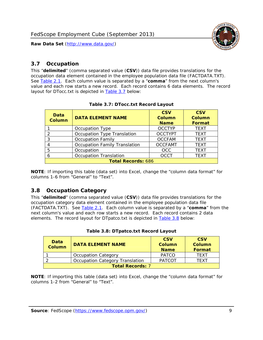

#### <span id="page-9-0"></span>*3.7 Occupation*

<span id="page-9-4"></span>This "**delimited**" (comma separated value (**CSV**)) data file provides translations for the occupation data element contained in the employee population data file (FACTDATA.TXT). See [Table 2.1](#page-4-1). Each column value is separated by a "**comma**" from the next column's value and each row starts a new record. Each record contains 6 data elements. The record layout for DTocc.txt is depicted in [Table 3.7](#page-9-4) below:

<span id="page-9-2"></span>

| Data<br><b>Column</b>     | <b>DATA ELEMENT NAME</b>             | <b>CSV</b><br>Column<br><b>Name</b> | <b>CSV</b><br><b>Column</b><br><b>Format</b> |
|---------------------------|--------------------------------------|-------------------------------------|----------------------------------------------|
|                           | Occupation Type                      | <b>OCCTYP</b>                       | <b>TEXT</b>                                  |
|                           | Occupation Type Translation          | <b>OCCTYPT</b>                      | <b>TEXT</b>                                  |
| 3                         | <b>Occupation Family</b>             | <b>OCCFAM</b>                       | <b>TEXT</b>                                  |
|                           | <b>Occupation Family Translation</b> | <b>OCCFAMT</b>                      | <b>TEXT</b>                                  |
| 5                         | Occupation                           | <b>OCC</b>                          | <b>TEXT</b>                                  |
|                           | <b>Occupation Translation</b>        | <b>OCCT</b>                         | <b>TEXT</b>                                  |
| <b>Total Records: 686</b> |                                      |                                     |                                              |

#### **Table 3.7: DTocc.txt Record Layout**

**NOTE**: If importing this table (data set) into Excel, change the "column data format" for columns 1-6 from "General" to "Text".

#### <span id="page-9-1"></span>*3.8 Occupation Category*

<span id="page-9-5"></span>This "**delimited**" (comma separated value (**CSV**)) data file provides translations for the occupation category data element contained in the employee population data file (FACTDATA.TXT). See [Table 2.1](#page-4-1). Each column value is separated by a "**comma**" from the next column's value and each row starts a new record. Each record contains 2 data elements. The record layout for DTpatco.txt is depicted in [Table 3.8](#page-9-5) below:

<span id="page-9-3"></span>

| Data<br><b>Column</b>   | <b>DATA ELEMENT NAME</b>        | <b>CSV</b><br>Column<br><b>Name</b> | <b>CSV</b><br>Column<br>Format |  |
|-------------------------|---------------------------------|-------------------------------------|--------------------------------|--|
|                         | <b>Occupation Category</b>      | <b>PATCO</b>                        | <b>TFXT</b>                    |  |
|                         | Occupation Category Translation | <b>PATCOT</b>                       | TFXT                           |  |
| <b>Total Records: 7</b> |                                 |                                     |                                |  |

| Table 3.8: DTpatco.txt Record Layout |  |
|--------------------------------------|--|
|--------------------------------------|--|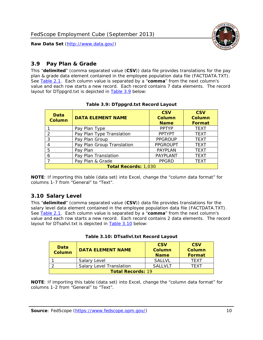

#### <span id="page-10-0"></span>*3.9 Pay Plan & Grade*

<span id="page-10-4"></span>This "**delimited**" (comma separated value (**CSV**)) data file provides translations for the pay plan & grade data element contained in the employee population data file (FACTDATA.TXT). See [Table 2.1](#page-4-1). Each column value is separated by a "**comma**" from the next column's value and each row starts a new record. Each record contains 7 data elements. The record layout for DTppgrd.txt is depicted in **Table 3.9** below:

<span id="page-10-2"></span>

| Data<br><b>Column</b> | <b>DATA ELEMENT NAME</b>    | <b>CSV</b><br>Column<br><b>Name</b> | <b>CSV</b><br>Column<br><b>Format</b> |  |  |
|-----------------------|-----------------------------|-------------------------------------|---------------------------------------|--|--|
|                       | Pay Plan Type               | <b>PPTYP</b>                        | <b>TEXT</b>                           |  |  |
| $\mathcal{P}$         | Pay Plan Type Translation   | <b>PPTYPT</b>                       | <b>TEXT</b>                           |  |  |
| 3                     | Pay Plan Group              | <b>PPGROUP</b>                      | <b>TEXT</b>                           |  |  |
|                       | Pay Plan Group Translation  | <b>PPGROUPT</b>                     | <b>TEXT</b>                           |  |  |
| 5                     | Pay Plan                    | <b>PAYPLAN</b>                      | <b>TEXT</b>                           |  |  |
| 6                     | Pay Plan Translation        | <b>PAYPLANT</b>                     | <b>TEXT</b>                           |  |  |
|                       | Pay Plan & Grade            | <b>PPGRD</b>                        | <b>TEXT</b>                           |  |  |
|                       | <b>Total Records: 1,030</b> |                                     |                                       |  |  |

#### **Table 3.9: DTppgrd.txt Record Layout**

**NOTE**: If importing this table (data set) into Excel, change the "column data format" for columns 1-7 from "General" to "Text".

## <span id="page-10-1"></span>*3.10 Salary Level*

<span id="page-10-5"></span><span id="page-10-3"></span>This "**delimited**" (comma separated value (**CSV**)) data file provides translations for the salary level data element contained in the employee population data file (FACTDATA.TXT). See [Table 2.1](#page-4-1). Each column value is separated by a "**comma**" from the next column's value and each row starts a new record. Each record contains 2 data elements. The record layout for DTsallvl.txt is depicted in [Table 3.10](#page-10-5) below:

| <b>Data</b><br>Column    | <b>DATA ELEMENT NAME</b>        | <b>CSV</b><br>Column<br><b>Name</b> | <b>CSV</b><br>Column<br><b>Format</b> |
|--------------------------|---------------------------------|-------------------------------------|---------------------------------------|
|                          | Salary Level                    | <b>SALLVL</b>                       | TFXT                                  |
|                          | <b>Salary Level Translation</b> | SAI I VI T                          | TEXT                                  |
| <b>Total Records: 19</b> |                                 |                                     |                                       |

| Table 3.10: DTsallvl.txt Record Layout |  |
|----------------------------------------|--|
|----------------------------------------|--|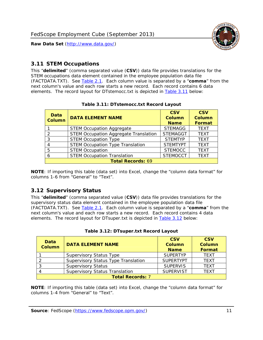

#### <span id="page-11-0"></span>*3.11 STEM Occupations*

<span id="page-11-4"></span>This "**delimited**" (comma separated value (**CSV**)) data file provides translations for the STEM occupations data element contained in the employee population data file (FACTDATA.TXT). See [Table 2.1](#page-4-1). Each column value is separated by a "**comma**" from the next column's value and each row starts a new record. Each record contains 6 data elements. The record layout for DTstemocc.txt is depicted in [Table 3.11](#page-11-4) below:

<span id="page-11-2"></span>

| <b>Data</b><br><b>Column</b> | <b>DATA ELEMENT NAME</b>                     | <b>CSV</b><br>Column<br><b>Name</b> | <b>CSV</b><br><b>Column</b><br><b>Format</b> |  |  |  |
|------------------------------|----------------------------------------------|-------------------------------------|----------------------------------------------|--|--|--|
|                              | <b>STEM Occupation Aggregate</b>             | <b>STEMAGG</b>                      | <b>TEXT</b>                                  |  |  |  |
|                              | <b>STEM Occupation Aggregate Translation</b> | <b>STEMAGGT</b>                     | <b>TEXT</b>                                  |  |  |  |
| 3                            | <b>STEM Occupation Type</b>                  | <b>STEMTYP</b>                      | <b>TEXT</b>                                  |  |  |  |
|                              | <b>STEM Occupation Type Translation</b>      | <b>STEMTYPT</b>                     | <b>TEXT</b>                                  |  |  |  |
| 5                            | <b>STEM Occupation</b>                       | <b>STEMOCC</b>                      | <b>TEXT</b>                                  |  |  |  |
|                              | <b>STEM Occupation Translation</b>           | <b>STEMOCCT</b>                     | <b>TEXT</b>                                  |  |  |  |
|                              | <b>Total Records: 69</b>                     |                                     |                                              |  |  |  |

#### **Table 3.11: DTstemocc.txt Record Layout**

**NOTE**: If importing this table (data set) into Excel, change the "column data format" for columns 1-6 from "General" to "Text".

## <span id="page-11-1"></span>*3.12 Supervisory Status*

This "**delimited**" (comma separated value (**CSV**)) data file provides translations for the supervisory status data element contained in the employee population data file (FACTDATA.TXT). See [Table 2.1](#page-4-1). Each column value is separated by a "**comma**" from the next column's value and each row starts a new record. Each record contains 4 data elements. The record layout for DTsuper.txt is depicted in [Table 3.12](#page-11-5) below:

<span id="page-11-5"></span><span id="page-11-3"></span>

| Data<br><b>Column</b> | <b>DATA ELEMENT NAME</b>              | <b>CSV</b><br>Column<br><b>Name</b> | <b>CSV</b><br><b>Column</b><br>Format |
|-----------------------|---------------------------------------|-------------------------------------|---------------------------------------|
|                       | <b>Supervisory Status Type</b>        | <b>SUPFRTYP</b>                     | <b>TEXT</b>                           |
|                       | Supervisory Status Type Translation   | <b>SUPERTYPT</b>                    | <b>TEXT</b>                           |
|                       | <b>Supervisory Status</b>             | <b>SUPERVIS</b>                     | <b>TEXT</b>                           |
|                       | <b>Supervisory Status Translation</b> | <b>SUPERVIST</b>                    | <b>TEXT</b>                           |
|                       | <b>Total Records: 7</b>               |                                     |                                       |

|  | Table 3.12: DTsuper.txt Record Layout |  |
|--|---------------------------------------|--|
|--|---------------------------------------|--|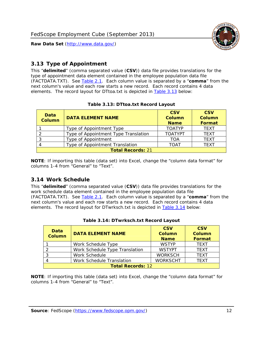

#### <span id="page-12-0"></span>*3.13 Type of Appointment*

This "**delimited**" (comma separated value (**CSV**)) data file provides translations for the type of appointment data element contained in the employee population data file (FACTDATA.TXT). See [Table 2.1](#page-4-1). Each column value is separated by a "**comma**" from the next column's value and each row starts a new record. Each record contains 4 data elements. The record layout for DTtoa.txt is depicted in [Table 3.13](#page-12-4) below:

<span id="page-12-4"></span><span id="page-12-2"></span>

| Data<br><b>Column</b> | <b>DATA ELEMENT NAME</b>             | <b>CSV</b><br><b>Column</b><br><b>Name</b> | <b>CSV</b><br><b>Column</b><br><b>Format</b> |
|-----------------------|--------------------------------------|--------------------------------------------|----------------------------------------------|
|                       | Type of Appointment Type             | <b>TOATYP</b>                              | <b>TFXT</b>                                  |
|                       | Type of Appointment Type Translation | <b>TOATYPT</b>                             | <b>TEXT</b>                                  |
|                       | Type of Appointment                  | <b>TOA</b>                                 | <b>TEXT</b>                                  |
|                       | Type of Appointment Translation      | <b>TOAT</b>                                | <b>TFXT</b>                                  |
|                       | <b>Total Records: 21</b>             |                                            |                                              |

#### **Table 3.13: DTtoa.txt Record Layout**

**NOTE**: If importing this table (data set) into Excel, change the "column data format" for columns 1-4 from "General" to "Text".

#### <span id="page-12-1"></span>*3.14 Work Schedule*

<span id="page-12-5"></span>This "**delimited**" (comma separated value (**CSV**)) data file provides translations for the work schedule data element contained in the employee population data file (FACTDATA.TXT). See [Table 2.1](#page-4-1). Each column value is separated by a "**comma**" from the next column's value and each row starts a new record. Each record contains 4 data elements. The record layout for DTwrksch.txt is depicted in [Table 3.14](#page-12-5) below:

<span id="page-12-3"></span>

| Data<br><b>Column</b>    | <b>DATA ELEMENT NAME</b>       | <b>CSV</b><br>Column<br><b>Name</b> | <b>CSV</b><br><b>Column</b><br><b>Format</b> |  |
|--------------------------|--------------------------------|-------------------------------------|----------------------------------------------|--|
|                          | Work Schedule Type             | <b>WSTYP</b>                        | <b>TEXT</b>                                  |  |
|                          | Work Schedule Type Translation | <b>WSTYPT</b>                       | <b>TFXT</b>                                  |  |
| 3                        | Work Schedule                  | <b>WORKSCH</b>                      | <b>TFXT</b>                                  |  |
|                          | Work Schedule Translation      | <b>WORKSCHT</b>                     | <b>TFXT</b>                                  |  |
| <b>Total Records: 12</b> |                                |                                     |                                              |  |

|  | Table 3.14: DTwrksch.txt Record Layout |  |
|--|----------------------------------------|--|
|  |                                        |  |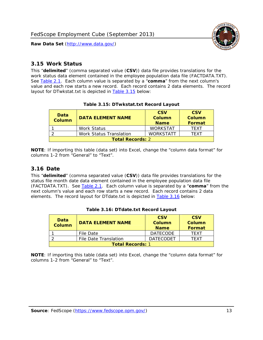

#### <span id="page-13-0"></span>*3.15 Work Status*

<span id="page-13-4"></span><span id="page-13-2"></span>This "**delimited**" (comma separated value (**CSV**)) data file provides translations for the work status data element contained in the employee population data file (FACTDATA.TXT). See [Table 2.1](#page-4-1). Each column value is separated by a "**comma**" from the next column's value and each row starts a new record. Each record contains 2 data elements. The record layout for DTwkstat.txt is depicted in [Table 3.15](#page-13-4) below:

| Data<br><b>Column</b>   | <b>DATA ELEMENT NAME</b> | <b>CSV</b><br>Column<br><b>Name</b> | <b>CSV</b><br>Column<br><b>Format</b> |
|-------------------------|--------------------------|-------------------------------------|---------------------------------------|
|                         | Work Status              | <b>WORKSTAT</b>                     | TFXT                                  |
|                         | Work Status Translation  | <b>WORKSTATT</b>                    | TFXT                                  |
| <b>Total Records: 2</b> |                          |                                     |                                       |

#### **Table 3.15: DTwkstat.txt Record Layout**

**NOTE**: If importing this table (data set) into Excel, change the "column data format" for columns 1-2 from "General" to "Text".

#### <span id="page-13-1"></span>*3.16 Date*

<span id="page-13-5"></span><span id="page-13-3"></span>This "**delimited**" (comma separated value (**CSV**)) data file provides translations for the status file month date data element contained in the employee population data file (FACTDATA.TXT). See [Table 2.1](#page-4-1). Each column value is separated by a "**comma**" from the next column's value and each row starts a new record. Each record contains 2 data elements. The record layout for DTdate.txt is depicted in [Table 3.16](#page-13-5) below:

| Data<br><b>Column</b>   | <b>DATA ELEMENT NAME</b> | <b>CSV</b><br>Column<br><b>Name</b> | <b>CSV</b><br>Column<br><b>Format</b> |
|-------------------------|--------------------------|-------------------------------------|---------------------------------------|
|                         | File Date                | <b>DATECODE</b>                     | TFXT                                  |
|                         | File Date Translation    | <b>DATECODET</b>                    | TFXT                                  |
| <b>Total Records: 1</b> |                          |                                     |                                       |

**Table 3.16: DTdate.txt Record Layout**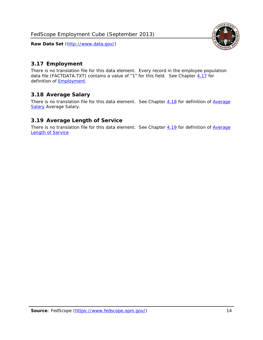

## <span id="page-14-0"></span>*3.17 Employment*

There is no translation file for this data element. Every record in the employee population data file (FACTDATA.TXT) contains a value of "1" for this field. See Chapter [4.17](#page-16-8) for definition of **Employment**.

## <span id="page-14-1"></span>*3.18 Average Salary*

There is no translation file for this data element. See Chapter [4.18](#page-17-1) for definition of [Average](#page-17-1) [Salary](#page-17-1) [Average Salary.](#page-17-1)

#### <span id="page-14-2"></span>*3.19 Average Length of Service*

There is no translation file for this data element. See Chapter [4.19](#page-17-2) for definition of [Average](#page-17-2) Length of Service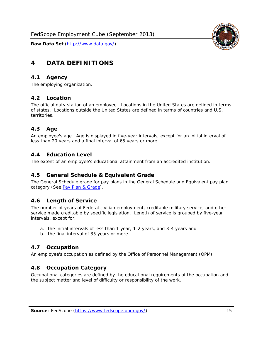

# <span id="page-15-0"></span>**4 DATA DEFINITIONS**

#### <span id="page-15-1"></span>*4.1 Agency*

The employing organization.

#### <span id="page-15-2"></span>*4.2 Location*

The official duty station of an employee. Locations in the United States are defined in terms of states. Locations outside the United States are defined in terms of countries and U.S. territories.

#### <span id="page-15-3"></span>*4.3 Age*

An employee's age. Age is displayed in five-year intervals, except for an initial interval of less than 20 years and a final interval of 65 years or more.

#### <span id="page-15-4"></span>*4.4 Education Level*

The extent of an employee's educational attainment from an accredited institution.

#### <span id="page-15-5"></span>*4.5 General Schedule & Equivalent Grade*

The General Schedule grade for pay plans in the General Schedule and Equivalent pay plan category (See [Pay Plan & Grade](#page-16-0)).

#### <span id="page-15-6"></span>*4.6 Length of Service*

The number of years of Federal civilian employment, creditable military service, and other service made creditable by specific legislation. Length of service is grouped by five-year intervals, except for:

- a. the initial intervals of less than 1 year, 1-2 years, and 3-4 years and
- b. the final interval of 35 years or more.

#### <span id="page-15-7"></span>*4.7 Occupation*

An employee's occupation as defined by the Office of Personnel Management (OPM).

#### <span id="page-15-8"></span>*4.8 Occupation Category*

Occupational categories are defined by the educational requirements of the occupation and the subject matter and level of difficulty or responsibility of the work.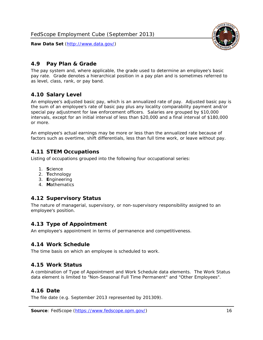<span id="page-16-0"></span>

The pay system and, where applicable, the grade used to determine an employee's basic pay rate. Grade denotes a hierarchical position in a pay plan and is sometimes referred to as level, class, rank, or pay band.

## <span id="page-16-1"></span>*4.10 Salary Level*

An employee's adjusted basic pay, which is an annualized rate of pay. Adjusted basic pay is the sum of an employee's rate of basic pay plus any locality comparability payment and/or special pay adjustment for law enforcement officers. Salaries are grouped by \$10,000 intervals, except for an initial interval of less than \$20,000 and a final interval of \$180,000 or more.

An employee's actual earnings may be more or less than the annualized rate because of factors such as overtime, shift differentials, less than full time work, or leave without pay.

## <span id="page-16-2"></span>*4.11 STEM Occupations*

Listing of occupations grouped into the following four occupational series:

- 1. **S**cience
- 2. **T**echnology
- 3. **E**ngineering
- 4. **M**athematics

## <span id="page-16-3"></span>*4.12 Supervisory Status*

The nature of managerial, supervisory, or non-supervisory responsibility assigned to an employee's position.

#### <span id="page-16-4"></span>*4.13 Type of Appointment*

An employee's appointment in terms of permanence and competitiveness.

#### <span id="page-16-5"></span>*4.14 Work Schedule*

The time basis on which an employee is scheduled to work.

#### <span id="page-16-6"></span>*4.15 Work Status*

A combination of Type of Appointment and Work Schedule data elements. The Work Status data element is limited to "Non-Seasonal Full Time Permanent" and "Other Employees".

#### <span id="page-16-7"></span>*4.16 Date*

<span id="page-16-8"></span>The file date (e.g. September 2013 represented by 201309).

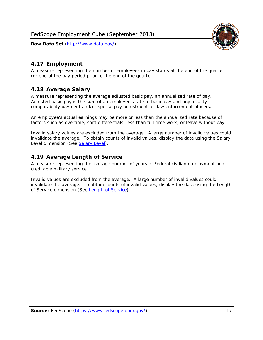

#### <span id="page-17-0"></span>*4.17 Employment*

A measure representing the number of employees in pay status at the end of the quarter (or end of the pay period prior to the end of the quarter).

#### <span id="page-17-1"></span>*4.18 Average Salary*

A measure representing the average adjusted basic pay, an annualized rate of pay. Adjusted basic pay is the sum of an employee's rate of basic pay and any locality comparability payment and/or special pay adjustment for law enforcement officers.

An employee's actual earnings may be more or less than the annualized rate because of factors such as overtime, shift differentials, less than full time work, or leave without pay.

Invalid salary values are excluded from the average. A large number of invalid values could invalidate the average. To obtain counts of invalid values, display the data using the Salary Level dimension (See [Salary Level\)](#page-16-1).

#### <span id="page-17-2"></span>*4.19 Average Length of Service*

A measure representing the average number of years of Federal civilian employment and creditable military service.

Invalid values are excluded from the average. A large number of invalid values could invalidate the average. To obtain counts of invalid values, display the data using the Length of Service dimension (See [Length of Service](#page-15-6)).